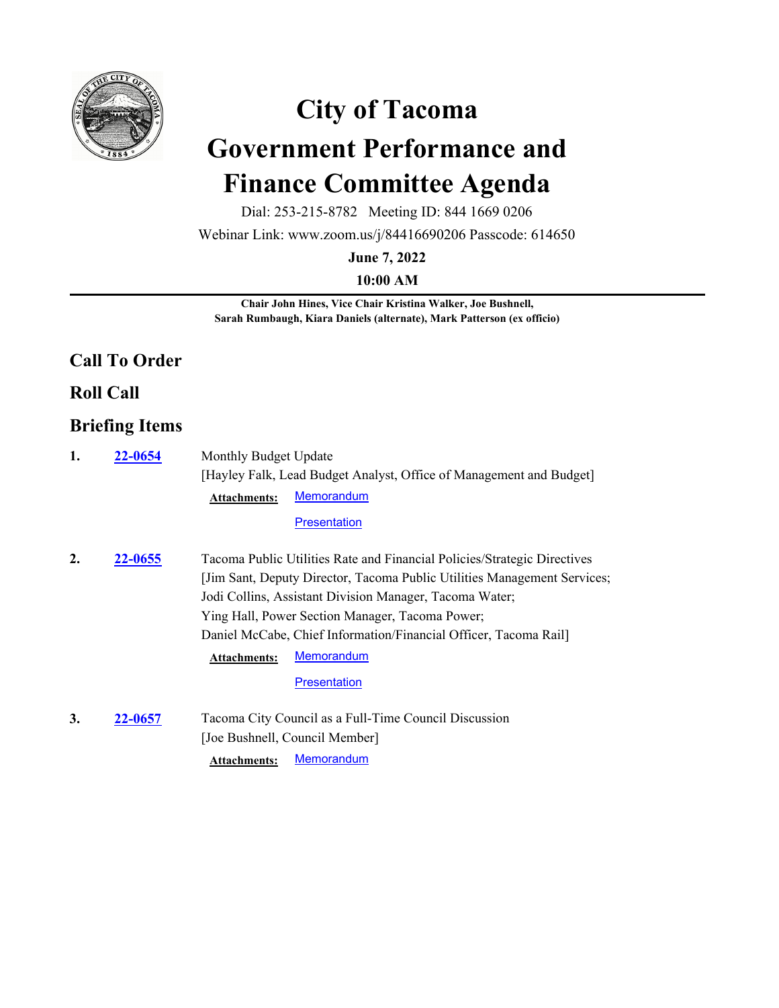

# **City of Tacoma Government Performance and Finance Committee Agenda**

Dial: 253-215-8782 Meeting ID: 844 1669 0206

Webinar Link: www.zoom.us/j/84416690206 Passcode: 614650

**June 7, 2022**

**10:00 AM**

**Chair John Hines, Vice Chair Kristina Walker, Joe Bushnell, Sarah Rumbaugh, Kiara Daniels (alternate), Mark Patterson (ex officio)**

#### **Call To Order**

**Roll Call**

## **Briefing Items**

| 1. | <b>22-0654</b> | Monthly Budget Update                                                    |
|----|----------------|--------------------------------------------------------------------------|
|    |                | [Hayley Falk, Lead Budget Analyst, Office of Management and Budget]      |
|    |                | Memorandum<br><b>Attachments:</b>                                        |
|    |                | <b>Presentation</b>                                                      |
| 2. | 22-0655        | Tacoma Public Utilities Rate and Financial Policies/Strategic Directives |
|    |                | [Jim Sant, Deputy Director, Tacoma Public Utilities Management Services; |
|    |                | Jodi Collins, Assistant Division Manager, Tacoma Water;                  |
|    |                | Ying Hall, Power Section Manager, Tacoma Power;                          |
|    |                | Daniel McCabe, Chief Information/Financial Officer, Tacoma Rail          |
|    |                | <b>Memorandum</b><br><b>Attachments:</b>                                 |
|    |                | <b>Presentation</b>                                                      |
| 3. | 22-0657        | Tacoma City Council as a Full-Time Council Discussion                    |
|    |                | [Joe Bushnell, Council Member]                                           |
|    |                | <b>Memorandum</b><br><b>Attachments:</b>                                 |